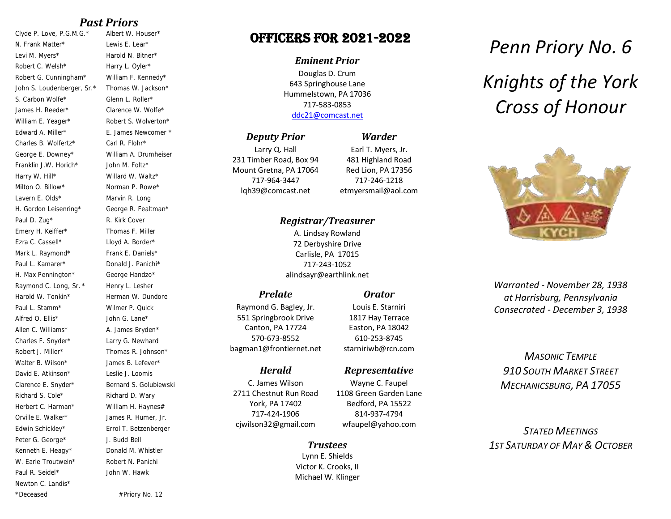## *Past Priors*

Clyde P. Love, P.G.M.G.\* Albert W. Houser\* N. Frank Matter\* Lewis E. Lear\* Levi M. Myers\* Harold N. Bitner\* Robert C. Welsh\* Harry L. Oyler\* Robert G. Cunningham\* William F. Kennedy\* John S. Loudenberger, Sr.\* Thomas W. Jackson\* S. Carbon Wolfe\* Glenn L. Roller\* James H. Reeder\* Clarence W. Wolfe\* William E. Yeager\* Robert S. Wolverton\* Edward A. Miller\* E. James Newcomer \* Charles B. Wolfertz\* Carl R. Flohr\* George E. Downey\* William A. Drumheiser Franklin J.W. Horich\* John M. Foltz\* Harry W. Hill\* Willard W. Waltz\* Milton O. Billow\* Norman P. Rowe\* Lavern E. Olds\* Marvin R. Long H. Gordon Leisenring\* George R. Fealtman\* Paul D. Zug\* R. Kirk Cover Emery H. Keiffer\* Thomas F. Miller Ezra C. Cassell\* Lloyd A. Border\* Mark L. Raymond\* Frank E. Daniels\* Paul L. Kamarer\* Donald J. Panichi\* H. Max Pennington\* George Handzo\* Raymond C. Long, Sr. \* Henry L. Lesher Harold W. Tonkin\* Herman W. Dundore Paul L. Stamm\* Wilmer P. Quick Alfred O. Filis\* John G. Lane\* Allen C. Williams\* A. James Bryden\* Charles F. Snyder\* Larry G. Newhard Robert J. Miller\* Thomas R. Johnson\* Walter B. Wilson\* James B. Lefever\* David E. Atkinson\* Leslie J. Loomis Clarence E. Snyder\* Bernard S. Golubiewski Richard S. Cole\* Richard D. Wary Herbert C. Harman\* William H. Haynes# Orville E. Walker\* James R. Humer, Jr. Edwin Schickley\* Errol T. Betzenberger Peter G. George\* J. Budd Bell Kenneth E. Heagy\* Donald M. Whistler W. Earle Troutwein\* Robert N. Panichi Paul R. Seidel\* Newton C. Landis\* \*Deceased #Priory No. 12

John W. Hawk

# Officers for 2021-2022

#### *Eminent Prior*

Douglas D. Crum 643 Springhouse Lane Hummelstown, PA 17036 717-583-0853 [ddc21@comcast.net](mailto:ddc21@comcast.net)

## *Deputy Prior*

Larry Q. Hall 231 Timber Road, Box 94 Mount Gretna, PA 17064 717-964-3447 lqh39@comcast.net

Earl T. Myers, Jr. 481 Highland Road Red Lion, PA 17356 717-246-1218 etmyersmail@aol.com

*Orator* Louis E. Starniri 1817 Hay Terrace Easton, PA 18042 610-253-8745 starniriwb@rcn.com

*Representative* Wayne C. Faupel 1108 Green Garden Lane Bedford, PA 15522 814-937-4794 wfaupel@yahoo.com

*Warder*

## *Registrar/Treasurer*

A. Lindsay Rowland 72 Derbyshire Drive Carlisle, PA 17015 717-243-1052 alindsayr@earthlink.net

## *Prelate*

Raymond G. Bagley, Jr. 551 Springbrook Drive Canton, PA 17724 570-673-8552 bagman1@frontiernet.net

#### *Herald*

C. James Wilson 2711 Chestnut Run Road York, PA 17402 717-424-1906 cjwilson32@gmail.com

#### *Trustees*

Lynn E. Shields Victor K. Crooks, II Michael W. Klinger

# *Penn Priory No. 6 Knights of the York Cross of Honour*



*Warranted - November 28, 1938 at Harrisburg, Pennsylvania Consecrated - December 3, 1938*

*MASONIC TEMPLE 910 SOUTH MARKET STREET MECHANICSBURG, PA 17055* 

*STATED MEETINGS 1ST SATURDAY OF MAY & OCTOBER*